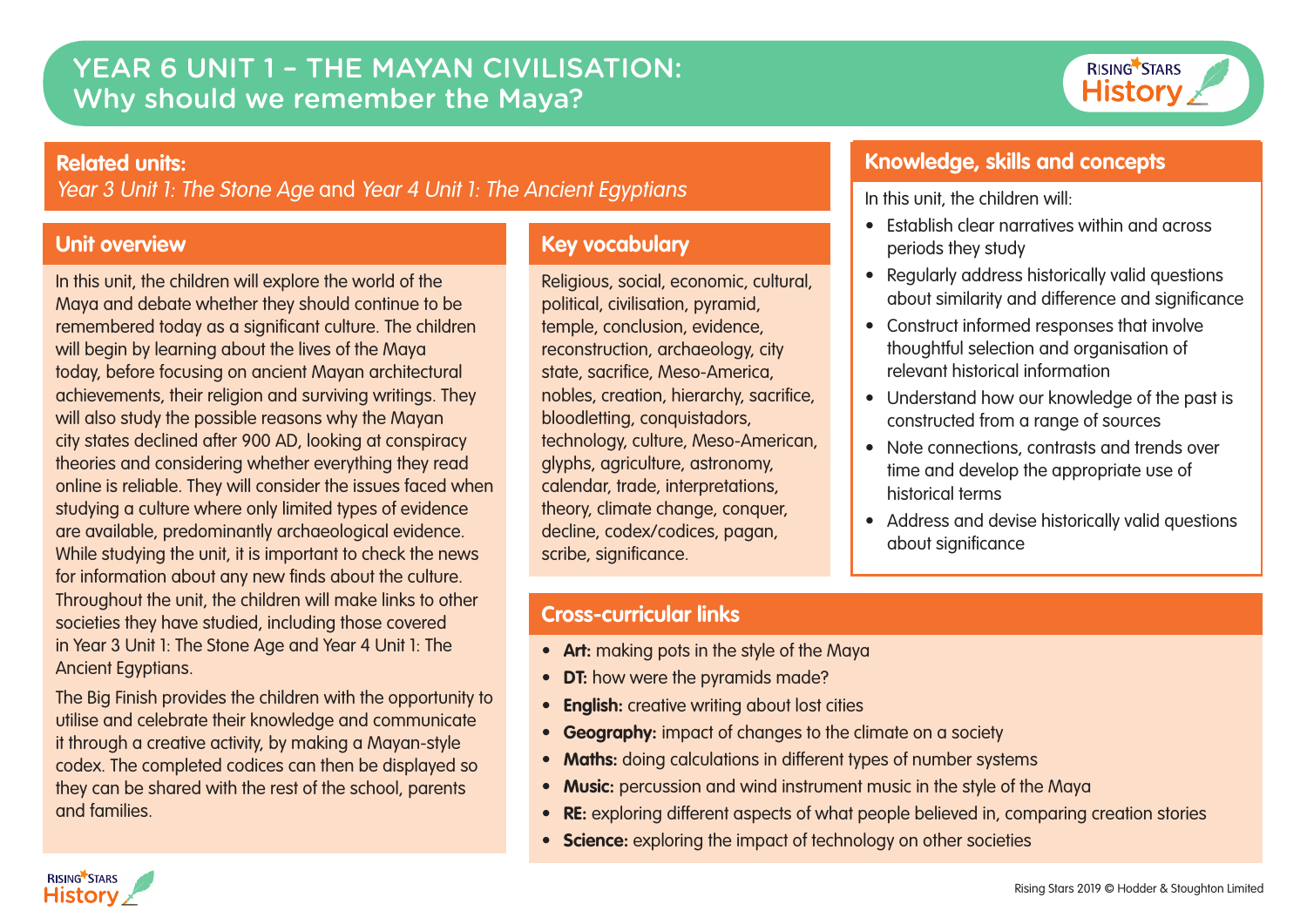# YEAR 6 UNIT 1 – THE MAYAN CIVILISATION: Why should we remember the Maya?



#### **Related units:**

Year 3 Unit 1: The Stone Age and Year 4 Unit 1: The Ancient Egyptians

## **Unit overview**

In this unit, the children will explore the world of the Maya and debate whether they should continue to be remembered today as a significant culture. The children will begin by learning about the lives of the Maya today, before focusing on ancient Mayan architectural achievements, their religion and surviving writings. They will also study the possible reasons why the Mayan city states declined after 900 AD, looking at conspiracy theories and considering whether everything they read online is reliable. They will consider the issues faced when studying a culture where only limited types of evidence are available, predominantly archaeological evidence. While studying the unit, it is important to check the news for information about any new finds about the culture. Throughout the unit, the children will make links to other societies they have studied, including those covered in Year 3 Unit 1: The Stone Age and Year 4 Unit 1: The Ancient Egyptians.

The Big Finish provides the children with the opportunity to utilise and celebrate their knowledge and communicate it through a creative activity, by making a Mayan-style codex. The completed codices can then be displayed so they can be shared with the rest of the school, parents and families.

# **Key vocabulary**

Religious, social, economic, cultural, political, civilisation, pyramid, temple, conclusion, evidence, reconstruction, archaeology, city state, sacrifice, Meso-America, nobles, creation, hierarchy, sacrifice, bloodletting, conquistadors, technology, culture, Meso-American, glyphs, agriculture, astronomy, calendar, trade, interpretations, theory, climate change, conquer, decline, codex/codices, pagan, scribe, significance.

## **Knowledge, skills and concepts**

In this unit, the children will:

- Establish clear narratives within and across periods they study
- Regularly address historically valid questions about similarity and difference and significance
- Construct informed responses that involve thoughtful selection and organisation of relevant historical information
- Understand how our knowledge of the past is constructed from a range of sources
- Note connections, contrasts and trends over time and develop the appropriate use of historical terms
- Address and devise historically valid questions about significance

## **Cross-curricular links**

- **Art:** making pots in the style of the Maya
- **DT:** how were the pyramids made?
- **English:** creative writing about lost cities
- **Geography:** impact of changes to the climate on a society
- **Maths:** doing calculations in different types of number systems
- **Music:** percussion and wind instrument music in the style of the Maya
- **RE:** exploring different aspects of what people believed in, comparing creation stories
- **Science:** exploring the impact of technology on other societies